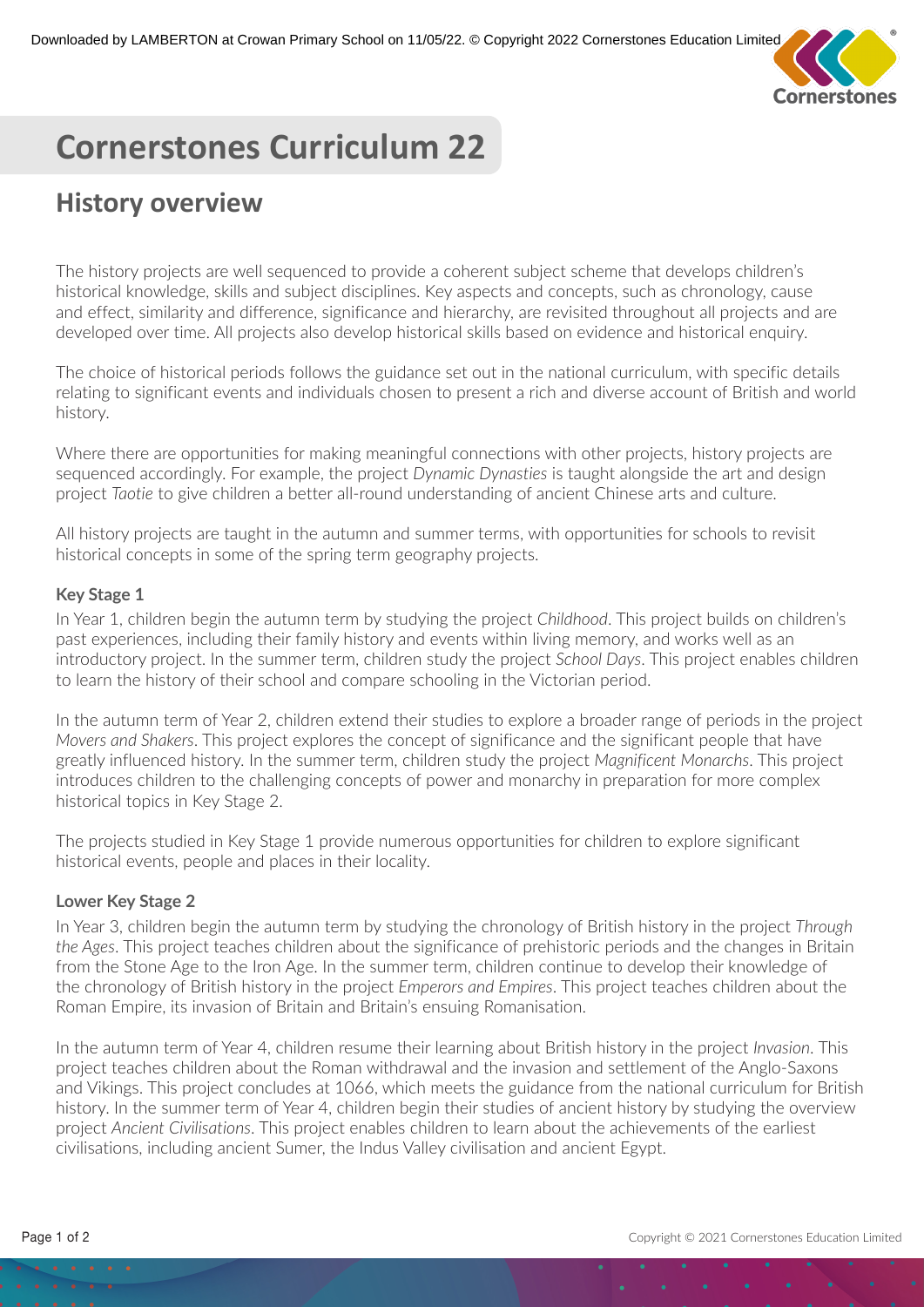

# **Cornerstones Curriculum 22**

## **History overview**

The history projects are well sequenced to provide a coherent subject scheme that develops children's historical knowledge, skills and subject disciplines. Key aspects and concepts, such as chronology, cause and effect, similarity and difference, significance and hierarchy, are revisited throughout all projects and are developed over time. All projects also develop historical skills based on evidence and historical enquiry.

The choice of historical periods follows the guidance set out in the national curriculum, with specific details relating to significant events and individuals chosen to present a rich and diverse account of British and world history.

Where there are opportunities for making meaningful connections with other projects, history projects are sequenced accordingly. For example, the project *Dynamic Dynasties* is taught alongside the art and design project *Taotie* to give children a better all-round understanding of ancient Chinese arts and culture.

All history projects are taught in the autumn and summer terms, with opportunities for schools to revisit historical concepts in some of the spring term geography projects.

### **Key Stage 1**

In Year 1, children begin the autumn term by studying the project *Childhood*. This project builds on children's past experiences, including their family history and events within living memory, and works well as an introductory project. In the summer term, children study the project *School Days*. This project enables children to learn the history of their school and compare schooling in the Victorian period.

In the autumn term of Year 2, children extend their studies to explore a broader range of periods in the project *Movers and Shakers*. This project explores the concept of significance and the significant people that have greatly influenced history. In the summer term, children study the project *Magnificent Monarchs*. This project introduces children to the challenging concepts of power and monarchy in preparation for more complex historical topics in Key Stage 2.

The projects studied in Key Stage 1 provide numerous opportunities for children to explore significant historical events, people and places in their locality.

#### **Lower Key Stage 2**

In Year 3, children begin the autumn term by studying the chronology of British history in the project *Through the Ages*. This project teaches children about the significance of prehistoric periods and the changes in Britain from the Stone Age to the Iron Age. In the summer term, children continue to develop their knowledge of the chronology of British history in the project *Emperors and Empires*. This project teaches children about the Roman Empire, its invasion of Britain and Britain's ensuing Romanisation.

In the autumn term of Year 4, children resume their learning about British history in the project *Invasion*. This project teaches children about the Roman withdrawal and the invasion and settlement of the Anglo-Saxons and Vikings. This project concludes at 1066, which meets the guidance from the national curriculum for British history. In the summer term of Year 4, children begin their studies of ancient history by studying the overview project *Ancient Civilisations*. This project enables children to learn about the achievements of the earliest civilisations, including ancient Sumer, the Indus Valley civilisation and ancient Egypt.